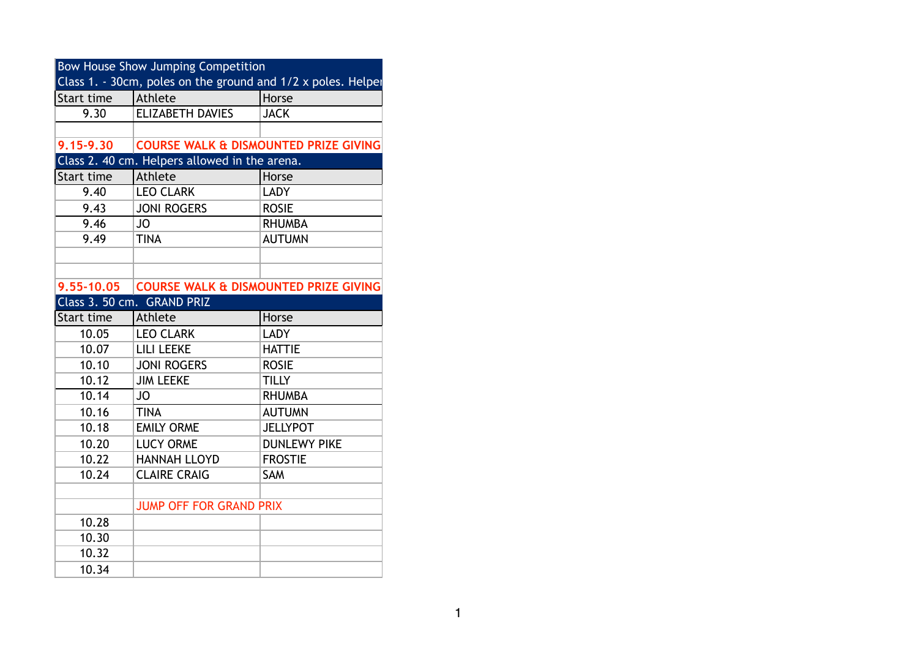| Bow House Show Jumping Competition            |                                                  |                                                              |  |  |
|-----------------------------------------------|--------------------------------------------------|--------------------------------------------------------------|--|--|
|                                               |                                                  | Class 1. - 30cm, poles on the ground and 1/2 x poles. Helper |  |  |
| Start time                                    | Athlete                                          | Horse                                                        |  |  |
| 9.30                                          | <b>ELIZABETH DAVIES</b>                          | <b>JACK</b>                                                  |  |  |
|                                               |                                                  |                                                              |  |  |
| 9.15-9.30                                     | <b>COURSE WALK &amp; DISMOUNTED PRIZE GIVING</b> |                                                              |  |  |
| Class 2. 40 cm. Helpers allowed in the arena. |                                                  |                                                              |  |  |
| Start time                                    | Athlete                                          | Horse                                                        |  |  |
| 9.40                                          | <b>LEO CLARK</b>                                 | <b>LADY</b>                                                  |  |  |
| 9.43                                          | <b>JONI ROGERS</b>                               | <b>ROSIE</b>                                                 |  |  |
| 9.46                                          | <b>JO</b>                                        | <b>RHUMBA</b>                                                |  |  |
| 9.49                                          | <b>TINA</b>                                      | <b>AUTUMN</b>                                                |  |  |
|                                               |                                                  |                                                              |  |  |
|                                               |                                                  |                                                              |  |  |
| 9.55-10.05                                    | <b>COURSE WALK &amp; DISMOUNTED PRIZE GIVING</b> |                                                              |  |  |
|                                               | Class 3. 50 cm. GRAND PRIZ                       |                                                              |  |  |
| Start time                                    | Athlete                                          | Horse                                                        |  |  |
| 10.05                                         | <b>LEO CLARK</b>                                 | LADY                                                         |  |  |
| 10.07                                         | LILI LEEKE                                       | <b>HATTIE</b>                                                |  |  |
| 10.10                                         | <b>JONI ROGERS</b>                               | <b>ROSIE</b>                                                 |  |  |
| 10.12                                         | <b>JIM LEEKE</b>                                 | <b>TILLY</b>                                                 |  |  |
| 10.14                                         | <b>JO</b>                                        | <b>RHUMBA</b>                                                |  |  |
| 10.16                                         | <b>TINA</b>                                      | <b>AUTUMN</b>                                                |  |  |
| 10.18                                         | <b>EMILY ORME</b>                                | <b>JELLYPOT</b>                                              |  |  |
| 10.20                                         | <b>LUCY ORME</b>                                 | <b>DUNLEWY PIKE</b>                                          |  |  |
| 10.22                                         | <b>HANNAH LLOYD</b>                              | <b>FROSTIE</b>                                               |  |  |
| 10.24                                         | <b>CLAIRE CRAIG</b>                              | <b>SAM</b>                                                   |  |  |
|                                               |                                                  |                                                              |  |  |
|                                               | <b>JUMP OFF FOR GRAND PRIX</b>                   |                                                              |  |  |
| 10.28                                         |                                                  |                                                              |  |  |
| 10.30                                         |                                                  |                                                              |  |  |
| 10.32                                         |                                                  |                                                              |  |  |
| 10.34                                         |                                                  |                                                              |  |  |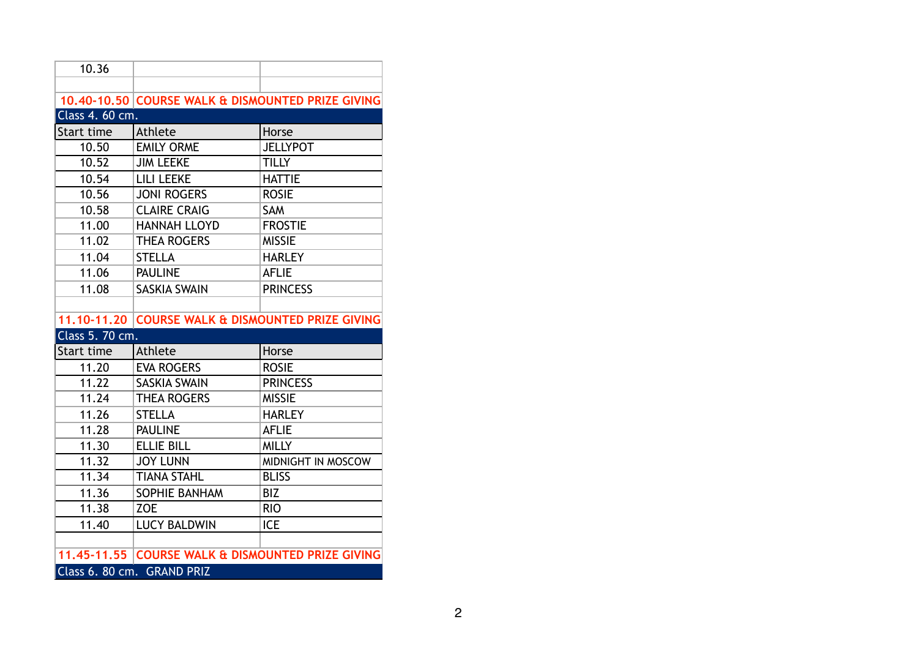| 10.36                                                           |                                                   |                    |  |  |
|-----------------------------------------------------------------|---------------------------------------------------|--------------------|--|--|
|                                                                 |                                                   |                    |  |  |
|                                                                 | 10.40-10.50 COURSE WALK & DISMOUNTED PRIZE GIVING |                    |  |  |
| Class 4. 60 cm.                                                 |                                                   |                    |  |  |
| Start time                                                      | Athlete                                           | Horse              |  |  |
| 10.50                                                           | <b>EMILY ORME</b>                                 | <b>JELLYPOT</b>    |  |  |
| 10.52                                                           | <b>JIM LEEKE</b>                                  | <b>TILLY</b>       |  |  |
| 10.54                                                           | <b>LILI LEEKE</b>                                 | <b>HATTIE</b>      |  |  |
| 10.56                                                           | <b>JONI ROGERS</b>                                | <b>ROSIE</b>       |  |  |
| 10.58                                                           | <b>CLAIRE CRAIG</b>                               | SAM                |  |  |
| 11.00                                                           | <b>HANNAH LLOYD</b>                               | <b>FROSTIE</b>     |  |  |
| 11.02                                                           | <b>THEA ROGERS</b>                                | <b>MISSIE</b>      |  |  |
| 11.04                                                           | <b>STELLA</b>                                     | <b>HARLEY</b>      |  |  |
| 11.06                                                           | <b>PAULINE</b>                                    | <b>AFLIE</b>       |  |  |
| 11.08                                                           | <b>SASKIA SWAIN</b>                               | <b>PRINCESS</b>    |  |  |
|                                                                 |                                                   |                    |  |  |
| 11.10-11.20<br><b>COURSE WALK &amp; DISMOUNTED PRIZE GIVING</b> |                                                   |                    |  |  |
| Class 5. 70 cm.                                                 |                                                   |                    |  |  |
| Start time                                                      | Athlete                                           | Horse              |  |  |
| 11.20                                                           | <b>EVA ROGERS</b>                                 | <b>ROSIE</b>       |  |  |
| 11.22                                                           | <b>SASKIA SWAIN</b>                               | <b>PRINCESS</b>    |  |  |
| 11.24                                                           | <b>THEA ROGERS</b>                                | <b>MISSIE</b>      |  |  |
| 11.26                                                           | <b>STELLA</b>                                     | <b>HARLEY</b>      |  |  |
| 11.28                                                           | <b>PAULINE</b>                                    | <b>AFLIE</b>       |  |  |
| 11.30                                                           | <b>ELLIE BILL</b>                                 | <b>MILLY</b>       |  |  |
| 11.32                                                           | <b>JOY LUNN</b>                                   | MIDNIGHT IN MOSCOW |  |  |
| 11.34                                                           | <b>TIANA STAHL</b>                                | <b>BLISS</b>       |  |  |
|                                                                 |                                                   |                    |  |  |
| 11.36                                                           | <b>SOPHIE BANHAM</b>                              | BIZ                |  |  |
| 11.38                                                           | <b>ZOE</b>                                        | <b>RIO</b>         |  |  |
| 11.40                                                           | <b>LUCY BALDWIN</b>                               | <b>ICE</b>         |  |  |
|                                                                 |                                                   |                    |  |  |
|                                                                 | 11.45-11.55 COURSE WALK & DISMOUNTED PRIZE GIVING |                    |  |  |